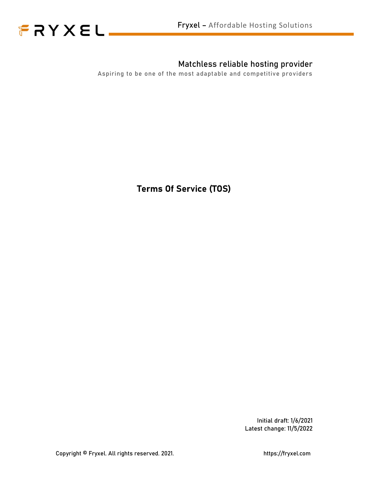



### Matchless reliable hosting provider

Aspiring to be one of the most adaptable and competitive providers

Terms Of Service (TOS)

Initial draft: 1/6/2021 Latest change: 11/5/2022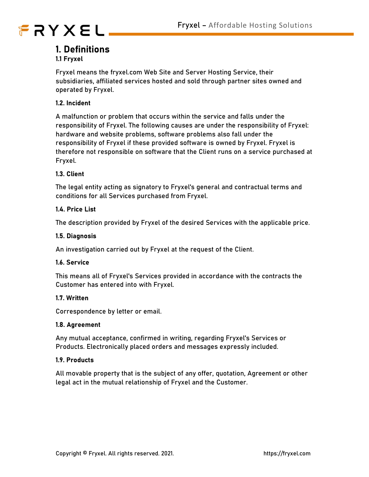

### 1. Definitions

### 1.1 Fryxel

Fryxel means the fryxel.com Web Site and Server Hosting Service, their subsidiaries, affiliated services hosted and sold through partner sites owned and operated by Fryxel.

### 1.2. Incident

A malfunction or problem that occurs within the service and falls under the responsibility of Fryxel. The following causes are under the responsibility of Fryxel: hardware and website problems, software problems also fall under the responsibility of Fryxel if these provided software is owned by Fryxel. Fryxel is therefore not responsible on software that the Client runs on a service purchased at Fryxel.

### 1.3. Client

The legal entity acting as signatory to Fryxel's general and contractual terms and conditions for all Services purchased from Fryxel.

### 1.4. Price List

The description provided by Fryxel of the desired Services with the applicable price.

#### 1.5. Diagnosis

An investigation carried out by Fryxel at the request of the Client.

### 1.6. Service

This means all of Fryxel's Services provided in accordance with the contracts the Customer has entered into with Fryxel.

### 1.7. Written

Correspondence by letter or email.

#### 1.8. Agreement

Any mutual acceptance, confirmed in writing, regarding Fryxel's Services or Products. Electronically placed orders and messages expressly included.

### 19 Products

All movable property that is the subject of any offer, quotation, Agreement or other legal act in the mutual relationship of Fryxel and the Customer.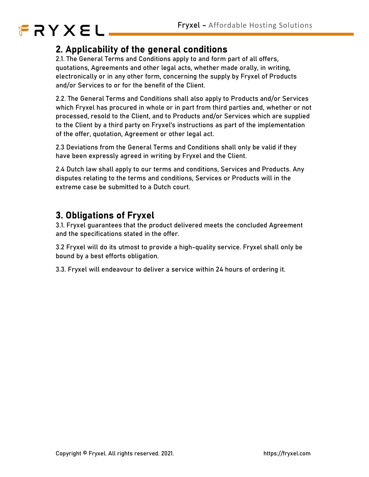## 2. Applicability of the general conditions

2.1. The General Terms and Conditions apply to and form part of all offers, quotations, Agreements and other legal acts, whether made orally, in writing, electronically or in any other form, concerning the supply by Fryxel of Products and/or Services to or for the benefit of the Client.

2.2. The General Terms and Conditions shall also apply to Products and/or Services which Fryxel has procured in whole or in part from third parties and, whether or not processed, resold to the Client, and to Products and/or Services which are supplied to the Client by a third party on Fryxel's instructions as part of the implementation of the offer, quotation, Agreement or other legal act.

2.3 Deviations from the General Terms and Conditions shall only be valid if they have been expressly agreed in writing by Fryxel and the Client.

2.4 Dutch law shall apply to our terms and conditions, Services and Products. Any disputes relating to the terms and conditions, Services or Products will in the extreme case be submitted to a Dutch court.

## 3. Obligations of Fryxel

3.1. Fryxel guarantees that the product delivered meets the concluded Agreement and the specifications stated in the offer.

3.2 Fryxel will do its utmost to provide a high-quality service. Fryxel shall only be bound by a best efforts obligation.

3.3. Fryxel will endeavour to deliver a service within 24 hours of ordering it.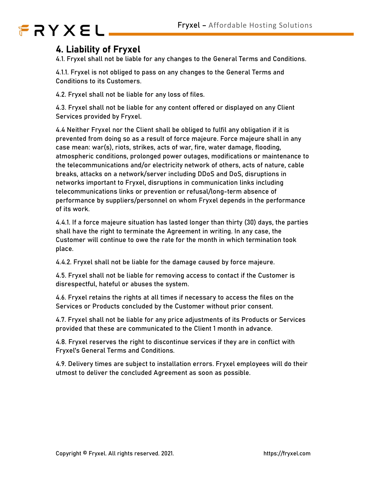## 4. Liability of Fryxel

4.1. Fryxel shall not be liable for any changes to the General Terms and Conditions.

4.1.1. Fryxel is not obliged to pass on any changes to the General Terms and Conditions to its Customers.

4.2. Fryxel shall not be liable for any loss of files.

4.3. Fryxel shall not be liable for any content offered or displayed on any Client Services provided by Fryxel.

4.4 Neither Fryxel nor the Client shall be obliged to fulfil any obligation if it is prevented from doing so as a result of force majeure. Force majeure shall in any case mean: war(s), riots, strikes, acts of war, fire, water damage, flooding, atmospheric conditions, prolonged power outages, modifications or maintenance to the telecommunications and/or electricity network of others, acts of nature, cable breaks, attacks on a network/server including DDoS and DoS, disruptions in networks important to Fryxel, disruptions in communication links including telecommunications links or prevention or refusal/long-term absence of performance by suppliers/personnel on whom Fryxel depends in the performance of its work.

4.4.1. If a force majeure situation has lasted longer than thirty (30) days, the parties shall have the right to terminate the Agreement in writing. In any case, the Customer will continue to owe the rate for the month in which termination took place.

4.4.2. Fryxel shall not be liable for the damage caused by force majeure.

4.5. Fryxel shall not be liable for removing access to contact if the Customer is disrespectful, hateful or abuses the system.

4.6. Fryxel retains the rights at all times if necessary to access the files on the Services or Products concluded by the Customer without prior consent.

4.7. Fryxel shall not be liable for any price adjustments of its Products or Services provided that these are communicated to the Client 1 month in advance.

4.8. Fryxel reserves the right to discontinue services if they are in conflict with Fryxel's General Terms and Conditions.

4.9. Delivery times are subject to installation errors. Fryxel employees will do their utmost to deliver the concluded Agreement as soon as possible.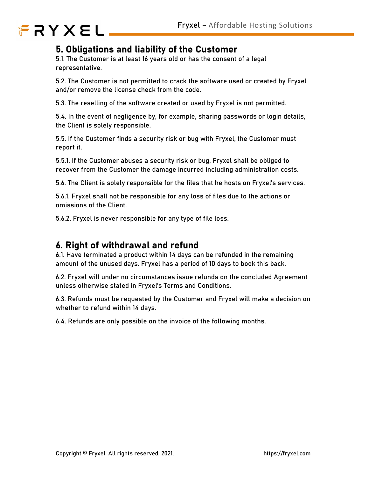

## 5. Obligations and liability of the Customer

5.1. The Customer is at least 16 years old or has the consent of a legal representative.

5.2. The Customer is not permitted to crack the software used or created by Fryxel and/or remove the license check from the code.

5.3. The reselling of the software created or used by Fryxel is not permitted.

5.4. In the event of negligence by, for example, sharing passwords or login details, the Client is solely responsible.

5.5. If the Customer finds a security risk or bug with Fryxel, the Customer must report it.

5.5.1. If the Customer abuses a security risk or bug, Fryxel shall be obliged to recover from the Customer the damage incurred including administration costs.

5.6. The Client is solely responsible for the files that he hosts on Fryxel's services.

5.6.1. Fryxel shall not be responsible for any loss of files due to the actions or omissions of the Client.

5.6.2. Fryxel is never responsible for any type of file loss.

### 6. Right of withdrawal and refund

6.1. Have terminated a product within 14 days can be refunded in the remaining amount of the unused days. Fryxel has a period of 10 days to book this back.

6.2. Fryxel will under no circumstances issue refunds on the concluded Agreement unless otherwise stated in Fryxel's Terms and Conditions.

6.3. Refunds must be requested by the Customer and Fryxel will make a decision on whether to refund within 14 days.

6.4. Refunds are only possible on the invoice of the following months.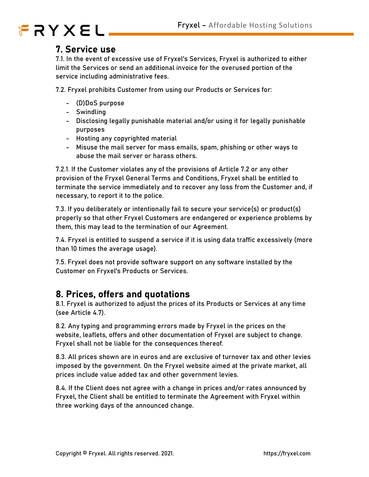## 7. Service use

7.1. In the event of excessive use of Fryxel's Services, Fryxel is authorized to either limit the Services or send an additional invoice for the overused portion of the service including administrative fees.

7.2. Fryxel prohibits Customer from using our Products or Services for:<br>- (D)DoS purpose<br>- Swindling<br>- Disclosing legally punishable material and/or using it for legally punishable

- 
- 
- purposes Hosting any copyrighted material Misuse the mail server for mass emails, spam, phishing or other ways to
- 
- abuse the mail server or harass others.

7.2.1. If the Customer violates any of the provisions of Article 7.2 or any other provision of the Fryxel General Terms and Conditions, Fryxel shall be entitled to terminate the service immediately and to recover any loss from the Customer and, if necessary, to report it to the police.

7.3. If you deliberately or intentionally fail to secure your service(s) or product(s) properly so that other Fryxel Customers are endangered or experience problems by them, this may lead to the termination of our Agreement.

7.4. Fryxel is entitled to suspend a service if it is using data traffic excessively (more than 10 times the average usage).

7.5. Fryxel does not provide software support on any software installed by the Customer on Fryxel's Products or Services.

## 8. Prices, offers and quotations

8.1. Fryxel is authorized to adjust the prices of its Products or Services at any time (see Article 4.7).

8.2. Any typing and programming errors made by Fryxel in the prices on the website, leaflets, offers and other documentation of Fryxel are subject to change. Fryxel shall not be liable for the consequences thereof.

8.3. All prices shown are in euros and are exclusive of turnover tax and other levies imposed by the government. On the Fryxel website aimed at the private market, all prices include value added tax and other government levies.

8.4. If the Client does not agree with a change in prices and/or rates announced by Fryxel, the Client shall be entitled to terminate the Agreement with Fryxel within three working days of the announced change.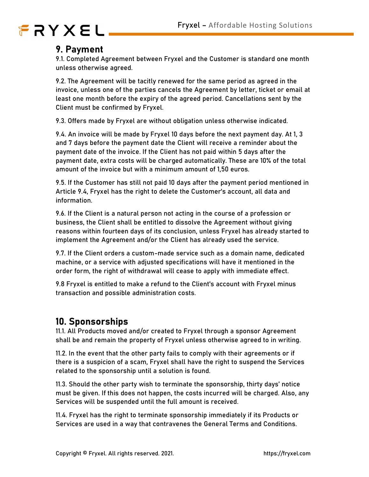## 9. Payment

9.1. Completed Agreement between Fryxel and the Customer is standard one month unless otherwise agreed.

9.2. The Agreement will be tacitly renewed for the same period as agreed in the invoice, unless one of the parties cancels the Agreement by letter, ticket or email at least one month before the expiry of the agreed period. Cancellations sent by the Client must be confirmed by Fryxel.

9.3. Offers made by Fryxel are without obligation unless otherwise indicated.

9.4. An invoice will be made by Fryxel 10 days before the next payment day. At 1, 3 and 7 days before the payment date the Client will receive a reminder about the payment date of the invoice. If the Client has not paid within 5 days after the payment date, extra costs will be charged automatically. These are 10% of the total amount of the invoice but with a minimum amount of 1,50 euros.

9.5. If the Customer has still not paid 10 days after the payment period mentioned in Article 9.4, Fryxel has the right to delete the Customer's account, all data and information.

9.6. If the Client is a natural person not acting in the course of a profession or business, the Client shall be entitled to dissolve the Agreement without giving reasons within fourteen days of its conclusion, unless Fryxel has already started to implement the Agreement and/or the Client has already used the service.

9.7. If the Client orders a custom-made service such as a domain name, dedicated machine, or a service with adjusted specifications will have it mentioned in the order form, the right of withdrawal will cease to apply with immediate effect.

9.8 Fryxel is entitled to make a refund to the Client's account with Fryxel minus transaction and possible administration costs.

## 10. Sponsorships

11.1. All Products moved and/or created to Fryxel through a sponsor Agreement shall be and remain the property of Fryxel unless otherwise agreed to in writing.

11.2. In the event that the other party fails to comply with their agreements or if there is a suspicion of a scam, Fryxel shall have the right to suspend the Services related to the sponsorship until a solution is found.

11.3. Should the other party wish to terminate the sponsorship, thirty days' notice must be given. If this does not happen, the costs incurred will be charged. Also, any Services will be suspended until the full amount is received.

11.4. Fryxel has the right to terminate sponsorship immediately if its Products or Services are used in a way that contravenes the General Terms and Conditions.